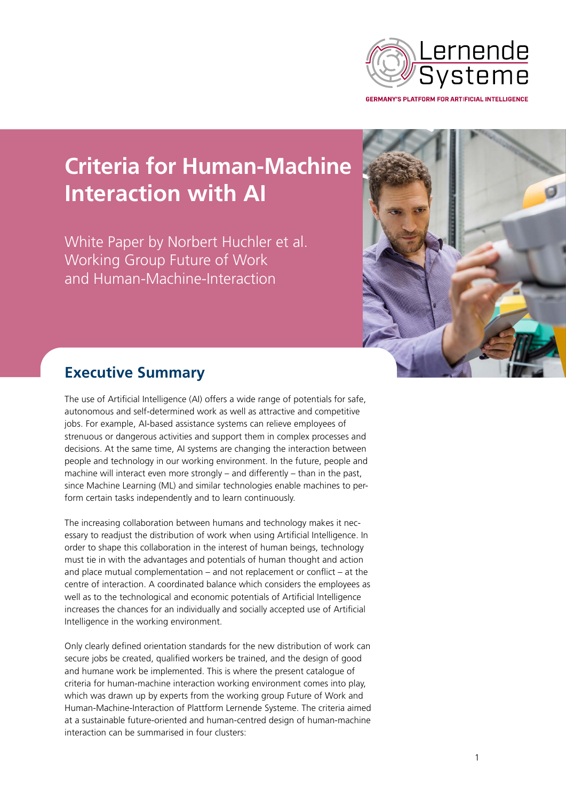

## **Criteria for Human-Machine Interaction with AI**

White Paper by Norbert Huchler et al. Working Group Future of Work and Human-Machine-Interaction



## **Executive Summary**

The use of Artificial Intelligence (AI) offers a wide range of potentials for safe, autonomous and self-determined work as well as attractive and competitive jobs. For example, AI-based assistance systems can relieve employees of strenuous or dangerous activities and support them in complex processes and decisions. At the same time, AI systems are changing the interaction between people and technology in our working environment. In the future, people and machine will interact even more strongly – and differently – than in the past, since Machine Learning (ML) and similar technologies enable machines to perform certain tasks independently and to learn continuously.

The increasing collaboration between humans and technology makes it necessary to readjust the distribution of work when using Artificial Intelligence. In order to shape this collaboration in the interest of human beings, technology must tie in with the advantages and potentials of human thought and action and place mutual complementation – and not replacement or conflict – at the centre of interaction. A coordinated balance which considers the employees as well as to the technological and economic potentials of Artificial Intelligence increases the chances for an individually and socially accepted use of Artificial Intelligence in the working environment.

Only clearly defined orientation standards for the new distribution of work can secure jobs be created, qualified workers be trained, and the design of good and humane work be implemented. This is where the present catalogue of criteria for human-machine interaction working environment comes into play, which was drawn up by experts from the working group Future of Work and Human-Machine-Interaction of Plattform Lernende Systeme. The criteria aimed at a sustainable future-oriented and human-centred design of human-machine interaction can be summarised in four clusters: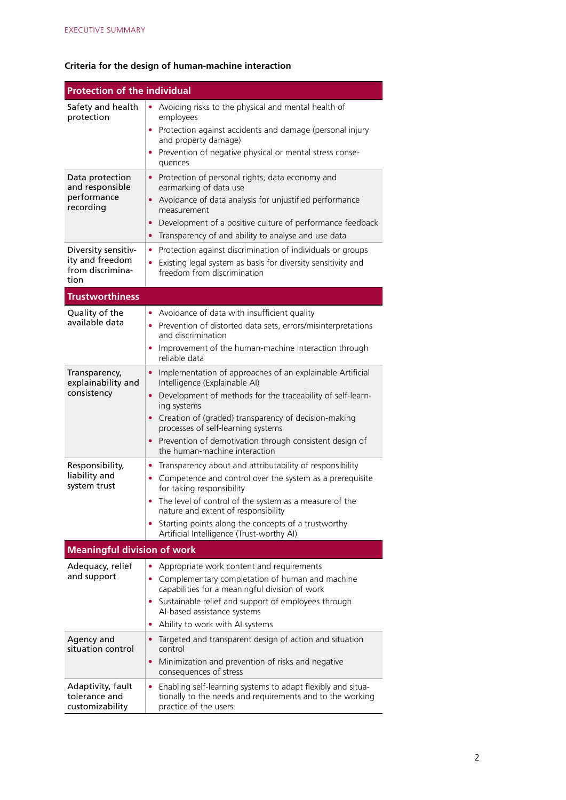## **Criteria for the design of human-machine interaction**

| <b>Protection of the individual</b>                                                   |                                                                                                                                                                                                                                                                                                                                                                                                                       |  |
|---------------------------------------------------------------------------------------|-----------------------------------------------------------------------------------------------------------------------------------------------------------------------------------------------------------------------------------------------------------------------------------------------------------------------------------------------------------------------------------------------------------------------|--|
| Safety and health<br>protection                                                       | Avoiding risks to the physical and mental health of<br>$\bullet$<br>employees<br>Protection against accidents and damage (personal injury<br>$\bullet$<br>and property damage)<br>Prevention of negative physical or mental stress conse-<br>٠<br>quences                                                                                                                                                             |  |
| Data protection<br>and responsible<br>performance<br>recording<br>Diversity sensitiv- | • Protection of personal rights, data economy and<br>earmarking of data use<br>Avoidance of data analysis for unjustified performance<br>٠<br>measurement<br>Development of a positive culture of performance feedback<br>$\bullet$<br>Transparency of and ability to analyse and use data<br>$\bullet$<br>Protection against discrimination of individuals or groups<br>٠                                            |  |
| ity and freedom<br>from discrimina-<br>tion                                           | Existing legal system as basis for diversity sensitivity and<br>٠<br>freedom from discrimination                                                                                                                                                                                                                                                                                                                      |  |
| <b>Trustworthiness</b>                                                                |                                                                                                                                                                                                                                                                                                                                                                                                                       |  |
| Quality of the<br>available data                                                      | • Avoidance of data with insufficient quality<br>Prevention of distorted data sets, errors/misinterpretations<br>$\bullet$<br>and discrimination<br>Improvement of the human-machine interaction through<br>٠<br>reliable data                                                                                                                                                                                        |  |
| Transparency,<br>explainability and<br>consistency                                    | Implementation of approaches of an explainable Artificial<br>$\bullet$<br>Intelligence (Explainable AI)<br>Development of methods for the traceability of self-learn-<br>$\bullet$<br>ing systems<br>Creation of (graded) transparency of decision-making<br>$\bullet$<br>processes of self-learning systems<br>Prevention of demotivation through consistent design of<br>$\bullet$<br>the human-machine interaction |  |
| Responsibility,<br>liability and<br>system trust                                      | Transparency about and attributability of responsibility<br>٠<br>Competence and control over the system as a prerequisite<br>٠<br>for taking responsibility<br>The level of control of the system as a measure of the<br>$\bullet$<br>nature and extent of responsibility<br>Starting points along the concepts of a trustworthy<br>٠<br>Artificial Intelligence (Trust-worthy AI)                                    |  |
| <b>Meaningful division of work</b>                                                    |                                                                                                                                                                                                                                                                                                                                                                                                                       |  |
| Adequacy, relief<br>and support                                                       | Appropriate work content and requirements<br>٠<br>Complementary completation of human and machine<br>٠<br>capabilities for a meaningful division of work<br>• Sustainable relief and support of employees through<br>Al-based assistance systems<br>Ability to work with AI systems<br>٠                                                                                                                              |  |
| Agency and<br>situation control                                                       | Targeted and transparent design of action and situation<br>٠<br>control<br>Minimization and prevention of risks and negative<br>$\bullet$<br>consequences of stress                                                                                                                                                                                                                                                   |  |
| Adaptivity, fault<br>tolerance and<br>customizability                                 | Enabling self-learning systems to adapt flexibly and situa-<br>٠<br>tionally to the needs and requirements and to the working<br>practice of the users                                                                                                                                                                                                                                                                |  |